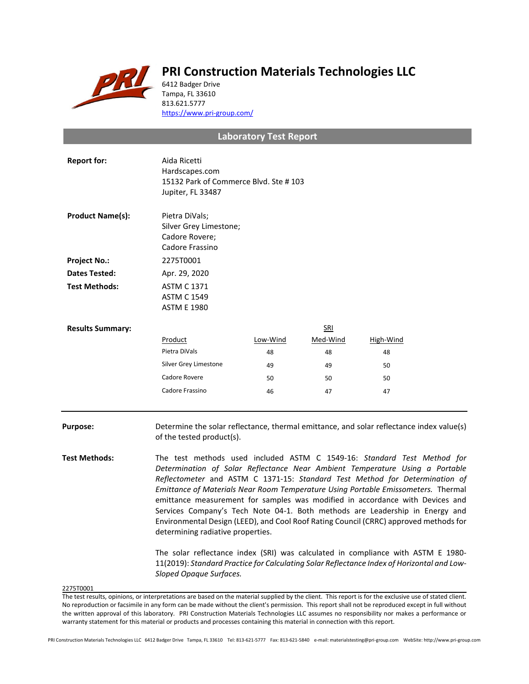

## **PRI Construction Materials Technologies LLC**

6412 Badger Drive Tampa, FL 33610 813.621.5777 <https://www.pri-group.com/>

## **Laboratory Test Report**

| <b>Report for:</b>      | Aida Ricetti<br>Hardscapes.com<br>15132 Park of Commerce Blvd. Ste #103<br>Jupiter, FL 33487 |          |            |           |
|-------------------------|----------------------------------------------------------------------------------------------|----------|------------|-----------|
| <b>Product Name(s):</b> | Pietra DiVals;<br>Silver Grey Limestone;<br>Cadore Rovere;<br>Cadore Frassino                |          |            |           |
| <b>Project No.:</b>     | 2275T0001                                                                                    |          |            |           |
| <b>Dates Tested:</b>    | Apr. 29, 2020                                                                                |          |            |           |
| <b>Test Methods:</b>    | <b>ASTM C 1371</b><br><b>ASTM C 1549</b><br><b>ASTM E 1980</b>                               |          |            |           |
| <b>Results Summary:</b> |                                                                                              |          | <b>SRI</b> |           |
|                         | Product                                                                                      | Low-Wind | Med-Wind   | High-Wind |
|                         | Pietra DiVals                                                                                | 48       | 48         | 48        |
|                         | Silver Grey Limestone                                                                        | 49       | 49         | 50        |
|                         | Cadore Rovere                                                                                | 50       | 50         | 50        |
|                         | Cadore Frassino                                                                              | 46       | 47         | 47        |
|                         |                                                                                              |          |            |           |

**Purpose:** Determine the solar reflectance, thermal emittance, and solar reflectance index value(s) of the tested product(s).

**Test Methods:** The test methods used included ASTM C 1549-16: *Standard Test Method for Determination of Solar Reflectance Near Ambient Temperature Using a Portable Reflectometer* and ASTM C 1371-15: *Standard Test Method for Determination of Emittance of Materials Near Room Temperature Using Portable Emissometers.* Thermal emittance measurement for samples was modified in accordance with Devices and Services Company's Tech Note 04-1. Both methods are Leadership in Energy and Environmental Design (LEED), and Cool Roof Rating Council (CRRC) approved methods for determining radiative properties.

> The solar reflectance index (SRI) was calculated in compliance with ASTM E 1980- 11(2019): *Standard Practice for Calculating Solar Reflectance Index of Horizontal and Low-Sloped Opaque Surfaces.*

2275T0001

PRI Construction Materials Technologies LLC 6412 Badger Drive Tampa, FL 33610 Tel: 813-621-5777 Fax: 813-621-5840 e-mail: materialstesting@pri-group.com WebSite: http://www.pri-group.com

The test results, opinions, or interpretations are based on the material supplied by the client. This report is for the exclusive use of stated client. No reproduction or facsimile in any form can be made without the client's permission. This report shall not be reproduced except in full without the written approval of this laboratory. PRI Construction Materials Technologies LLC assumes no responsibility nor makes a performance or warranty statement for this material or products and processes containing this material in connection with this report.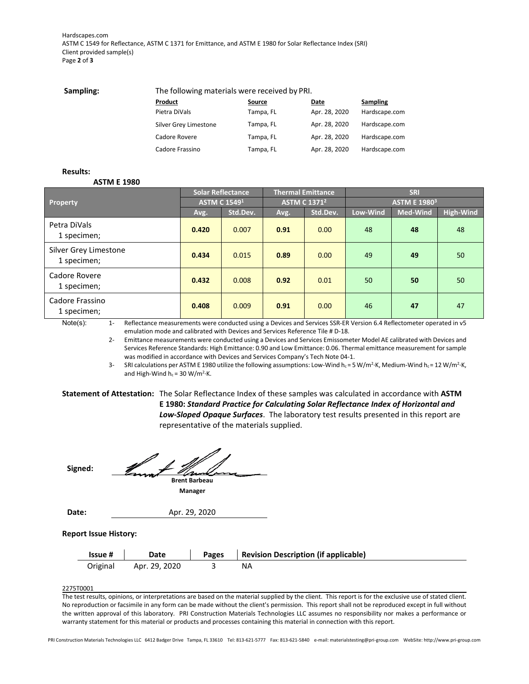Hardscapes.com ASTM C 1549 for Reflectance, ASTM C 1371 for Emittance, and ASTM E 1980 for Solar Reflectance Index (SRI) Client provided sample(s) Page **2** of **3**

| Sampling: | The following materials were received by PRI. |               |               |               |  |  |
|-----------|-----------------------------------------------|---------------|---------------|---------------|--|--|
|           | Product                                       | <b>Source</b> | Date          | Sampling      |  |  |
|           | Pietra DiVals                                 | Tampa, FL     | Apr. 28, 2020 | Hardscape.com |  |  |
|           | Silver Grey Limestone                         | Tampa, FL     | Apr. 28, 2020 | Hardscape.com |  |  |
|           | Cadore Rovere                                 | Tampa, FL     | Apr. 28, 2020 | Hardscape.com |  |  |
|           | Cadore Frassino                               | Tampa, FL     | Apr. 28, 2020 | Hardscape.com |  |  |

**Results:**

**ASTM E 1980**

|                                      | <b>Solar Reflectance</b> |          | <b>Thermal Emittance</b>       |          | <b>SRI</b>                     |                 |                  |
|--------------------------------------|--------------------------|----------|--------------------------------|----------|--------------------------------|-----------------|------------------|
| Property                             | <b>ASTM C 15491</b>      |          | <b>ASTM C 1371<sup>2</sup></b> |          | <b>ASTM E 1980<sup>3</sup></b> |                 |                  |
|                                      | Avg.                     | Std.Dev. | Avg.                           | Std.Dev. | Low-Wind                       | <b>Med-Wind</b> | <b>High-Wind</b> |
| Petra DiVals<br>1 specimen;          | 0.420                    | 0.007    | 0.91                           | 0.00     | 48                             | 48              | 48               |
| Silver Grey Limestone<br>1 specimen; | 0.434                    | 0.015    | 0.89                           | 0.00     | 49                             | 49              | 50               |
| Cadore Rovere<br>1 specimen;         | 0.432                    | 0.008    | 0.92                           | 0.01     | 50                             | 50              | 50               |
| Cadore Frassino<br>1 specimen;       | 0.408                    | 0.009    | 0.91                           | 0.00     | 46                             | 47              | 47               |

Note(s): 1- Reflectance measurements were conducted using a Devices and Services SSR-ER Version 6.4 Reflectometer operated in v5 emulation mode and calibrated with Devices and Services Reference Tile # D-18.

> 2- Emittance measurements were conducted using a Devices and Services Emissometer Model AE calibrated with Devices and Services Reference Standards: High Emittance: 0.90 and Low Emittance: 0.06. Thermal emittance measurement for sample was modified in accordance with Devices and Services Company's Tech Note 04-1.

> 3- SRI calculations per ASTM E 1980 utilize the following assumptions: Low-Wind  $h_c = 5$  W/m<sup>2</sup>·K, Medium-Wind  $h_c = 12$  W/m<sup>2</sup>·K, and High-Wind  $h_c = 30 \text{ W/m}^2 \cdot \text{K}$ .

**Statement of Attestation:** The Solar Reflectance Index of these samples was calculated in accordance with **ASTM E 1980:** *Standard Practice for Calculating Solar Reflectance Index of Horizontal and Low-Sloped Opaque Surfaces*.The laboratory test results presented in this report are representative of the materials supplied.

**Signed: Brent Barbeau Manager**

**Date:** Apr. 29, 2020

## **Report Issue History:**

| Issue #  | Date          | <b>Pages</b> | <b>Revision Description (if applicable)</b> |
|----------|---------------|--------------|---------------------------------------------|
| Original | Apr. 29, 2020 |              |                                             |

2275T0001

The test results, opinions, or interpretations are based on the material supplied by the client. This report is for the exclusive use of stated client. No reproduction or facsimile in any form can be made without the client's permission. This report shall not be reproduced except in full without the written approval of this laboratory. PRI Construction Materials Technologies LLC assumes no responsibility nor makes a performance or warranty statement for this material or products and processes containing this material in connection with this report.

PRI Construction Materials Technologies LLC 6412 Badger Drive Tampa, FL 33610 Tel: 813-621-5777 Fax: 813-621-5840 e-mail: materialstesting@pri-group.com WebSite: http://www.pri-group.com